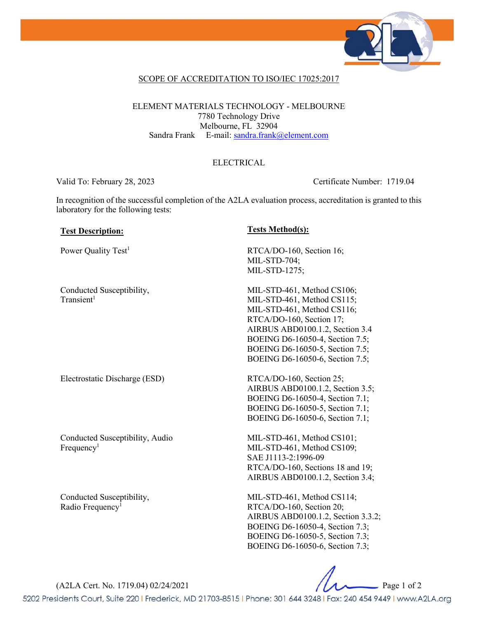

### SCOPE OF ACCREDITATION TO ISO/IEC 17025:2017

ELEMENT MATERIALS TECHNOLOGY - MELBOURNE 7780 Technology Drive Melbourne, FL 32904 Sandra Frank E-mail: [sandra.frank@element.com](mailto:sandra.frank@element.com)

### ELECTRICAL

Valid To: February 28, 2023 Certificate Number: 1719.04

In recognition of the successful completion of the A2LA evaluation process, accreditation is granted to this laboratory for the following tests:

### **Test Description: Tests Method(s):**

Conducted Susceptibility,  $Transient<sup>1</sup>$ 

Electrostatic Discharge (ESD) RTCA/DO-160, Section 25;

Conducted Susceptibility, Audio  $Frequency<sup>1</sup>$ 

Conducted Susceptibility, Radio Frequency<sup>1</sup>

Power Quality Test<sup>1</sup> RTCA/DO-160, Section 16; MIL-STD-704; MIL-STD-1275;

> MIL-STD-461, Method CS106; MIL-STD-461, Method CS115; MIL-STD-461, Method CS116; RTCA/DO-160, Section 17; AIRBUS ABD0100.1.2, Section 3.4 BOEING D6-16050-4, Section 7.5; BOEING D6-16050-5, Section 7.5; BOEING D6-16050-6, Section 7.5;

AIRBUS ABD0100.1.2, Section 3.5; BOEING D6-16050-4, Section 7.1; BOEING D6-16050-5, Section 7.1; BOEING D6-16050-6, Section 7.1;

MIL-STD-461, Method CS101; MIL-STD-461, Method CS109; SAE J1113-2:1996-09 RTCA/DO-160, Sections 18 and 19; AIRBUS ABD0100.1.2, Section 3.4;

MIL-STD-461, Method CS114; RTCA/DO-160, Section 20; AIRBUS ABD0100.1.2, Section 3.3.2; BOEING D6-16050-4, Section 7.3; BOEING D6-16050-5, Section 7.3; BOEING D6-16050-6, Section 7.3;

(A2LA Cert. No. 1719.04) 02/24/2021 Page 1 of 2

5202 Presidents Court, Suite 220 | Frederick, MD 21703-8515 | Phone: 301 644 3248 | Fax: 240 454 9449 | www.A2LA.org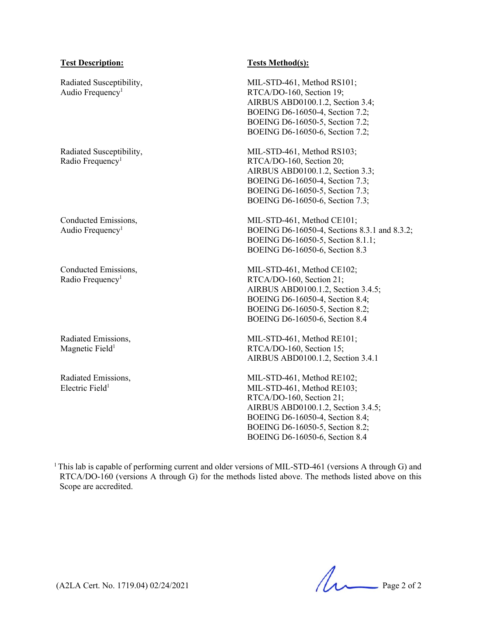### **Test Description: Tests Method(s):**

Radiated Susceptibility, Audio Frequency<sup>1</sup>

Radiated Susceptibility, Radio Frequency<sup>1</sup>

Conducted Emissions, Audio Frequency<sup>1</sup>

Conducted Emissions, Radio Frequency<sup>1</sup>

Radiated Emissions, Magnetic Field<sup>1</sup>

Radiated Emissions, Electric Field $1$ 

MIL-STD-461, Method RS101; RTCA/DO-160, Section 19; AIRBUS ABD0100.1.2, Section 3.4; BOEING D6-16050-4, Section 7.2; BOEING D6-16050-5, Section 7.2; BOEING D6-16050-6, Section 7.2;

MIL-STD-461, Method RS103; RTCA/DO-160, Section 20; AIRBUS ABD0100.1.2, Section 3.3; BOEING D6-16050-4, Section 7.3; BOEING D6-16050-5, Section 7.3; BOEING D6-16050-6, Section 7.3;

MIL-STD-461, Method CE101; BOEING D6-16050-4, Sections 8.3.1 and 8.3.2; BOEING D6-16050-5, Section 8.1.1; BOEING D6-16050-6, Section 8.3

MIL-STD-461, Method CE102; RTCA/DO-160, Section 21; AIRBUS ABD0100.1.2, Section 3.4.5; BOEING D6-16050-4, Section 8.4; BOEING D6-16050-5, Section 8.2; BOEING D6-16050-6, Section 8.4

MIL-STD-461, Method RE101; RTCA/DO-160, Section 15; AIRBUS ABD0100.1.2, Section 3.4.1

MIL-STD-461, Method RE102; MIL-STD-461, Method RE103; RTCA/DO-160, Section 21; AIRBUS ABD0100.1.2, Section 3.4.5; BOEING D6-16050-4, Section 8.4; BOEING D6-16050-5, Section 8.2; BOEING D6-16050-6, Section 8.4

<sup>1</sup> This lab is capable of performing current and older versions of MIL-STD-461 (versions A through G) and RTCA/DO-160 (versions A through G) for the methods listed above. The methods listed above on this Scope are accredited.

(A2LA Cert. No. 1719.04) 02/24/2021 Page 2 of 2